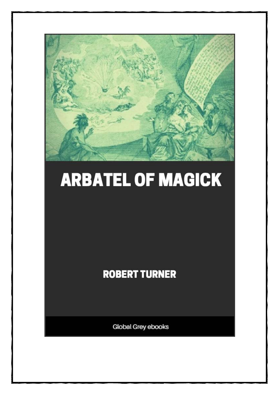

## **ARBATEL OF MAGICK**

**ROBERT TURNER** 

Global Grey ebooks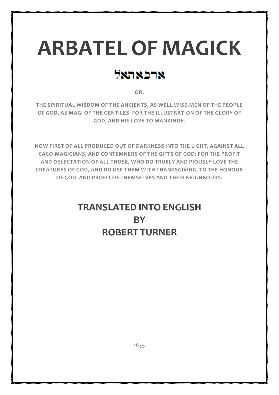# **ARBATEL OF MAGICK**

## *<u>SNORDON</u>*

**OR,**

**THE SPIRITUAL WISDOM OF THE ANCIENTS, AS WELL WISE-MEN OF THE PEOPLE OF GOD, AS MAGI OF THE GENTILES: FOR THE ILLUSTRATION OF THE GLORY OF GOD, AND HIS LOVE TO MANKINDE.**

**NOW FIRST OF ALL PRODUCED OUT OF DARKNESS INTO THE LIGHT, AGAINST ALL CACO-MAGICIANS, AND CONTEMNERS OF THE GIFTS OF GOD; FOR THE PROFIT AND DELECTATION OF ALL THOSE, WHO DO TRUELY AND PIOUSLY LOVE THE CREATURES OF GOD, AND DO USE THEM WITH THANKSGIVING, TO THE HONOUR OF GOD, AND PROFIT OF THEMSELVES AND THEIR NEIGHBOURS.**

## **TRANSLATED INTO ENGLISH BY ROBERT TURNER**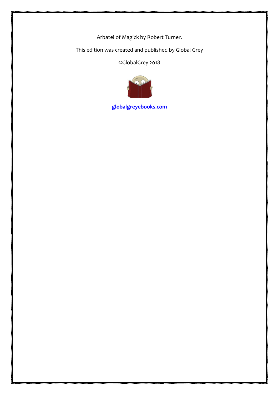Arbatel of Magick by Robert Turner.

This edition was created and published by Global Grey

©GlobalGrey 2018



**[globalgreyebooks.com](https://www.globalgreyebooks.com/)**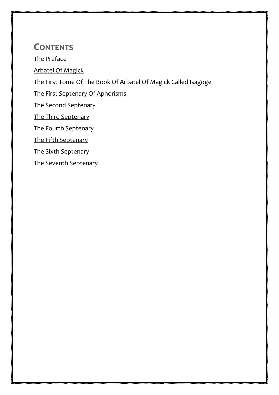**CONTENTS** [The Preface](#page-5-0) [Arbatel Of Magick](#page-10-0) [The First Tome Of The Book Of Arbatel Of Magick Called Isagoge](#page-12-0) [The First Septenary Of Aphorisms](#page-13-0) [The Second Septenary](#page-15-0) [The Third Septenary](#page-19-0) [The Fourth Septenary](#page-27-0) [The Fifth Septenary](#page-34-0) [The Sixth Septenary](#page-37-0) [The Seventh Septenary](#page-44-0)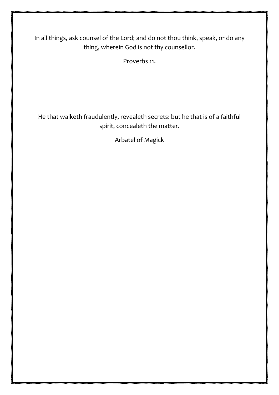In all things, ask counsel of the Lord; and do not thou think, speak, or do any thing, wherein God is not thy counsellor.

Proverbs 11.

He that walketh fraudulently, revealeth secrets: but he that is of a faithful spirit, concealeth the matter.

Arbatel of Magick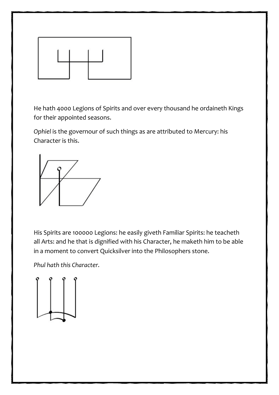**CONTENTS** The Preface **Arbatel Of Magick** The First Tome Of The Book Of Arbatel Of Magick Called Isagoge The First Septenary Of Aphorisms The Second Septenary The Third Septenary The Fourth Septenary The Fifth Septenary The Sixth Septenary The Seventh Septenary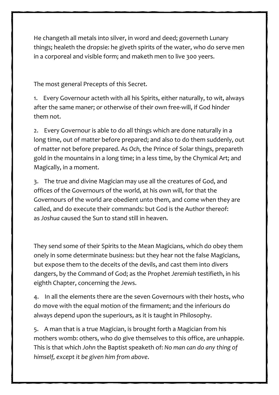He changeth all metals into silver, in word and deed; governeth Lunary things; healeth the dropsie: he giveth spirits of the water, who do serve men in a corporeal and visible form; and maketh men to live 300 yeers.

The most general Precepts of this Secret.

1. Every Governour acteth with all his Spirits, either naturally, to wit, always after the same maner; or otherwise of their own free-will, if God hinder them not.

2. Every Governour is able to do all things which are done naturally in a long time, out of matter before prepared; and also to do them suddenly, out of matter not before prepared. As *Och,* the Prince of Solar things, prepareth gold in the mountains in a long time; in a less time, by the Chymical Art; and Magically, in a moment.

3. The true and divine Magician may use all the creatures of God, and offices of the Governours of the world, at his own will, for that the Governours of the world are obedient unto them, and come when they are called, and do execute their commands: but God is the Author thereof: as *Joshua* caused the Sun to stand still in heaven.

They send some of their Spirits to the Mean Magicians, which do obey them onely in some determinate business: but they hear not the false Magicians, but expose them to the deceits of the devils, and cast them into divers dangers, by the Command of God; as the Prophet *Jeremiah* testifieth, in his eighth Chapter, concerning the Jews.

4. In all the elements there are the seven Governours with their hosts, who do move with the equal motion of the firmament; and the inferiours do always depend upon the superiours, as it is taught in Philosophy.

5. A man that is a true Magician, is brought forth a Magician from his mothers womb: others, who do give themselves to this office, are unhappie. This is that which *John* the Baptist speaketh of: *No man can do any thing of himself, except it be given him from above*.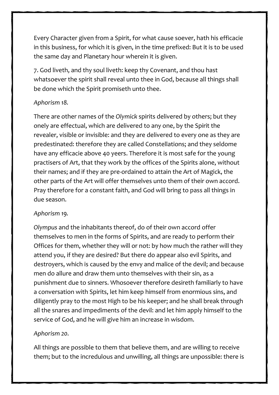Every Character given from a Spirit, for what cause soever, hath his efficacie in this business, for which it is given, in the time prefixed: But it is to be used the same day and Planetary hour wherein it is given.

7. God liveth, and thy soul liveth: keep thy Covenant, and thou hast whatsoever the spirit shall reveal unto thee in God, because all things shall be done which the Spirit promiseth unto thee.

#### *Aphorism 18.*

There are other names of the *Olymick* spirits delivered by others; but they onely are effectual, which are delivered to any one, by the Spirit the revealer, visible or invisible: and they are delivered to every one as they are predestinated: therefore they are called Constellations; and they seldome have any efficacie above 40 yeers. Therefore it is most safe for the young practisers of Art, that they work by the offices of the Spirits alone, without their names; and if they are pre-ordained to attain the Art of Magick, the other parts of the Art will offer themselves unto them of their own accord. Pray therefore for a constant faith, and God will bring to pass all things in due season.

#### *Aphorism 19.*

*Olympus* and the inhabitants thereof, do of their own accord offer themselves to men in the forms of Spirits, and are ready to perform their Offices for them, whether they will or not: by how much the rather will they attend you, if they are desired? But there do appear also evil Spirits, and destroyers, which is caused by the envy and malice of the devil; and because men do allure and draw them unto themselves with their sin, as a punishment due to sinners. Whosoever therefore desireth familiarly to have a conversation with Spirits, let him keep himself from enormious sins, and diligently pray to the most High to be his keeper; and he shall break through all the snares and impediments of the devil: and let him apply himself to the service of God, and he will give him an increase in wisdom.

#### *Aphorism 20.*

All things are possible to them that believe them, and are willing to receive them; but to the incredulous and unwilling, all things are unpossible: there is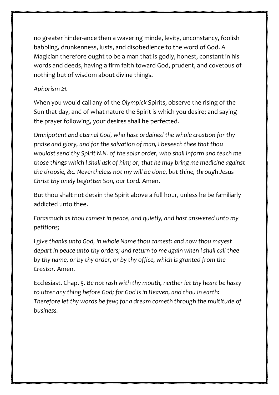no greater hinder-ance then a wavering minde, levity, unconstancy, foolish babbling, drunkenness, lusts, and disobedience to the word of God. A Magician therefore ought to be a man that is godly, honest, constant in his words and deeds, having a firm faith toward God, prudent, and covetous of nothing but of wisdom about divine things.

#### *Aphorism 21.*

When you would call any of the *Olympick* Spirits, observe the rising of the Sun that day, and of what nature the Spirit is which you desire; and saying the prayer following, your desires shall he perfected.

*Omnipotent and eternal God, who hast ordained the whole creation for thy praise and glory, and for the salvation of man, I beseech thee that thou wouldst send thy Spirit N.N. of the solar order, who shall inform and teach me those things which I shall ask of him; or, that he may bring me medicine against the dropsie, &c. Nevertheless not my will be done, but thine, through Jesus Christ thy onely begotten Son, our Lord.* Amen.

But thou shalt not detain the Spirit above a full hour, unless he be familiarly addicted unto thee.

*Forasmuch as thou camest in peace, and quietly, and hast answered unto my petitions;*

*I give thanks unto God, in whole Name thou camest: and now thou mayest depart in peace unto thy orders; and return to me again when I shall call thee by thy name, or by thy order, or by thy office, which is granted from the Creator.* Amen.

Ecclesiast. Chap. 5. *Be not rash with thy mouth, neither let thy heart be hasty to utter any thing before God; for God is in Heaven, and thou in earth: Therefore let thy words be few; for a dream cometh through the multitude of business.*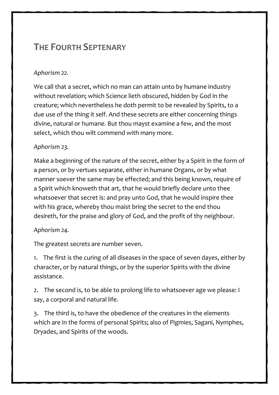## <span id="page-27-0"></span>**THE FOURTH SEPTENARY**

#### *Aphorism 22.*

We call that a secret, which no man can attain unto by humane industry without revelation; which Science lieth obscured, hidden by God in the creature; which nevertheless he doth permit to be revealed by Spirits, to a due use of the thing it self. And these secrets are either concerning things divine, natural or humane. But thou mayst examine a few, and the most select, which thou wilt commend with many more.

#### *Aphorism 23.*

Make a beginning of the nature of the secret, either by a Spirit in the form of a person, or by vertues separate, either in humane Organs, or by what manner soever the same may be effected; and this being known, require of a Spirit which knoweth that art, that he would briefly declare unto thee whatsoever that secret is: and pray unto God, that he would inspire thee with his grace, whereby thou maist bring the secret to the end thou desireth, for the praise and glory of God, and the profit of thy neighbour.

#### *Aphorism 24.*

The greatest secrets are number seven.

1. The first is the curing of all diseases in the space of seven dayes, either by character, or by natural things, or by the superior Spirits with the divine assistance.

2. The second is, to be able to prolong life to whatsoever age we please: I say, a corporal and natural life.

3. The third is, to have the obedience of the creatures in the elements which are in the forms of personal Spirits; also of Pigmies, Sagani, Nymphes, Dryades, and Spirits of the woods.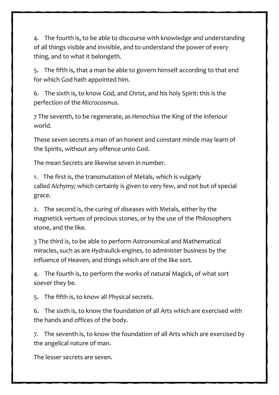4. The fourth is, to be able to discourse with knowledge and understanding of all things visible and invisible, and to understand the power of every thing, and to what it belongeth.

5. The fifth is, that a man be able to govern himself according to that end for which God hath appointed him.

6. The sixth is, to know God, and Christ, and his holy Spirit: this is the perfection of the *Microcosmus.*

7 The seventh, to be regenerate, as *Henochius* the King of the inferiour world.

These seven secrets a man of an honest and constant minde may learn of the Spirits, without any offence unto God.

The mean Secrets are likewise seven in number.

1. The first is, the transmutation of Metals, which is vulgarly called *Alchymy;* which certainly is given to very few, and not but of special grace.

2. The second is, the curing of diseases with Metals, either by the magnetick vertues of precious stones, or by the use of the Philosophers stone, and the like.

3 The third is, to be able to perform Astronomical and Mathematical miracles, such as are *Hydraulick-engines,* to administer business by the influence of Heaven, and things which are of the like sort.

4. The fourth is, to perform the works of natural Magick, of what sort soever they be.

5. The fifth is, to know all Physical secrets.

6. The sixth is, to know the foundation of all Arts which are exercised with the hands and offices of the body.

7. The seventh is, to know the foundation of all Arts which are exercised by the angelical nature of man.

The lesser secrets are seven.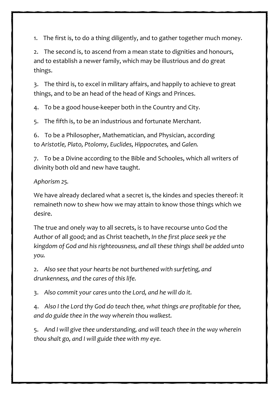1. The first is, to do a thing diligently, and to gather together much money.

2. The second is, to ascend from a mean state to dignities and honours, and to establish a newer family, which may be illustrious and do great things.

3. The third is, to excel in military affairs, and happily to achieve to great things, and to be an head of the head of Kings and Princes.

4. To be a good house-keeper both in the Country and City.

5. The fifth is, to be an industrious and fortunate Merchant.

6. To be a Philosopher, Mathematician, and Physician, according to *Aristotle, Plato, Ptolomy, Euclides, Hippocrates,* and *Galen.*

7. To be a Divine according to the Bible and Schooles, which all writers of divinity both old and new have taught.

#### *Aphorism 25.*

We have already declared what a secret is, the kindes and species thereof: it remaineth now to shew how we may attain to know those things which we desire.

The true and onely way to all secrets, is to have recourse unto God the Author of all good; and as Christ teacheth, *In the first place seek ye the kingdom of God and his righteousness, and all these things shall be added unto you.*

2. *Also see that your hearts be not burthened with surfeting, and drunkenness, and the cares of this life.*

3. *Also commit your cares unto the Lord, and he will do it.*

4. *Also I the Lord thy God do teach thee, what things are profitable for thee, and do guide thee in the way wherein thou walkest.*

5. *And I will give thee understanding, and will teach thee in the way wherein thou shalt go, and I will guide thee with my eye.*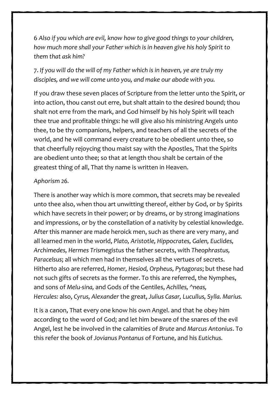6 *Also if you which are evil, know how to give good things to your children, how much more shall your Father which is in heaven give his holy Spirit to them that ask him?*

7. *If you will do the will of my Father which is in heaven, ye are truly my disciples, and we will come unto you, and make our abode with you.*

If you draw these seven places of Scripture from the letter unto the Spirit, or into action, thou canst out erre, but shalt attain to the desired bound; thou shalt not erre from the mark, and God himself by his holy Spirit will teach thee true and profitable things: he will give also his ministring Angels unto thee, to be thy companions, helpers, and teachers of all the secrets of the world, and he will command every creature to be obedient unto thee, so that cheerfully rejoycing thou maist say with the Apostles, That the Spirits are obedient unto thee; so that at length thou shalt be certain of the greatest thing of all, That thy name is written in Heaven.

#### *Aphorism 26.*

There is another way which is more common, that secrets may be revealed unto thee also, when thou art unwitting thereof, either by God, or by Spirits which have secrets in their power; or by dreams, or by strong imaginations and impressions, or by the constellation of a nativity by celestial knowledge. After this manner are made heroick men, such as there are very many, and all learned men in the world, *Plato, Aristotle, Hippocrates, Galen, Euclides, Archimedes, Hermes Trismegistus* the father secrets, with *Theophrastus, Paracelsus*; all which men had in themselves all the vertues of secrets. Hitherto also are referred, *Homer, Hesiod, Orpheus, Pytagoras*; but these had not such gifts of secrets as the former. To this are referred, the Nymphes, and sons of *Melu-sina,* and Gods of the Gentiles, *Achilles, ^neas, Hercules:* also, *Cyrus, Alexander* the great, *Julius Casar, Lucullus, Sylla. Marius.*

It is a canon, That every one know his own Angel. and that he obey him according to the word of God; and let him beware of the snares of the evil Angel, lest he be involved in the calamities of *Brute* and *Marcus Antonius*. To this refer the book of *Jovianus Pontanus* of Fortune, and his *Eutichus.*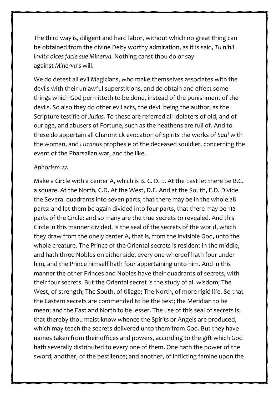The third way is, diligent and hard labor, without which no great thing can be obtained from the divine Deity worthy admiration, as it is said, *Tu nihil invita dices facie sue Minerva.* Nothing canst thou do or say against *Minerva's* will.

We do detest all evil Magicians, who make themselves associates with the devils with their unlawful superstitions, and do obtain and effect some things which God permitteth to be done, instead of the punishment of the devils. So also they do other evil acts, the devil being the author, as the Scripture testifie of *Judas.* To these are referred all idolaters of old, and of our age, and abusers of Fortune, such as the heathens are full of. And to these do appertain all Charontick evocation of Spirits the works of *Saul* with the woman, and *Lucanus* prophesie of the deceased souldier, concerning the event of the Pharsalian war, and the like.

#### *Aphorism 27.*

Make a Circle with a center A, which is B. C. D. E. At the East let there be B.C. a square. At the North, C.D. At the West, D.E. And at the South, E.D. Divide the Several quadrants into seven parts, that there may be in the whole 28 parts: and let them be again divided into four parts, that there may be 112 parts of the Circle: and so many are the true secrets to revealed. And this Circle in this manner divided, is the seal of the secrets of the world, which they draw from the onely center A, that is, from the invisible God, unto the whole creature. The Prince of the Oriental secrets is resident in the middle, and hath three Nobles on either side, every one whereof hath four under him, and the Prince himself hath four appertaining unto him. And in this manner the other Princes and Nobles have their quadrants of secrets, with their four secrets. But the Oriental secret is the study of all wisdom; The West, of strength; The South, of tillage; The North, of more rigid life. So that the Eastern secrets are commended to be the best; the Meridian to be mean; and the East and North to be lesser. The use of this seal of secrets is, that thereby thou maist know whence the Spirits or Angels are produced, which may teach the secrets delivered unto them from God. But they have names taken from their offices and powers, according to the gift which God hath severally distributed to every one of them. One hath the power of the sword; another, of the pestilence; and another, of inflicting famine upon the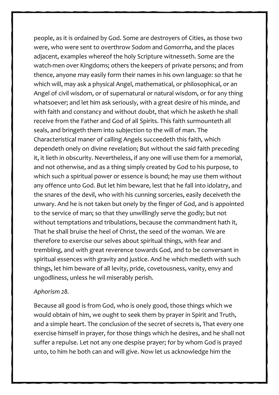people, as it is ordained by God. Some are destroyers of Cities, as those two were, who were sent to overthrow *Sodom* and *Gomorrha*, and the places adjacent, examples whereof the holy Scripture witnesseth. Some are the watch-men over Kingdoms; others the keepers of private persons; and from thence, anyone may easily form their names in his own language: so that he which will, may ask a physical Angel, mathematical, or philosophical, or an Angel of civil wisdom, or of supernatural or natural wisdom, or for any thing whatsoever; and let him ask seriously, with a great desire of his minde, and with faith and constancy and without doubt, that which he asketh he shall receive from the Father and God of all Spirits. This faith surmounteth all seals, and bringeth them into subjection to the will of man. The Characteristical maner of calling Angels succeedeth this faith, which dependeth onely on divine revelation; But without the said faith preceding it, it lieth in obscurity. Nevertheless, if any one will use them for a memorial, and not otherwise, and as a thing simply created by God to his purpose, to which such a spiritual power or essence is bound; he may use them without any offence unto God. But let him beware, lest that he fall into idolatry, and the snares of the devil, who with his cunning sorceries, easily deceiveth the unwary. And he is not taken but onely by the finger of God, and is appointed to the service of man; so that they unwillingly serve the godly; but not without temptations and tribulations, because the commandment hath it, That he shall bruise the heel of Christ, the seed of the woman. We are therefore to exercise our selves about spiritual things, with fear and trembling, and with great reverence towards God, and to be conversant in spiritual essences with gravity and justice. And he which medleth with such things, let him beware of all levity, pride, covetousness, vanity, envy and ungodliness, unless he wil miserably perish.

#### *Aphorism 28.*

Because all good is from God, who is onely good, those things which we would obtain of him, we ought to seek them by prayer in Spirit and Truth, and a simple heart. The conclusion of the secret of secrets is, That every one exercise himself in prayer, for those things which he desires, and he shall not suffer a repulse. Let not any one despise prayer; for by whom God is prayed unto, to him he both can and will give. Now let us acknowledge him the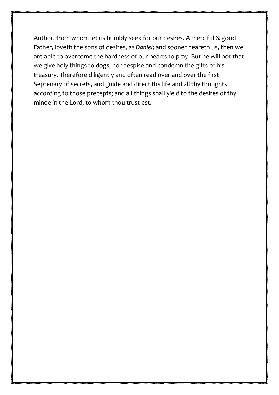Author, from whom let us humbly seek for our desires. A merciful & good Father, loveth the sons of desires, as *Daniel;* and sooner heareth us, then we are able to overcome the hardness of our hearts to pray. But he will not that we give holy things to dogs, nor despise and condemn the gifts of his treasury. Therefore diligently and often read over and over the first Septenary of secrets, and guide and direct thy life and all thy thoughts according to those precepts; and all things shall yield to the desires of thy minde in the Lord, to whom thou trust-est.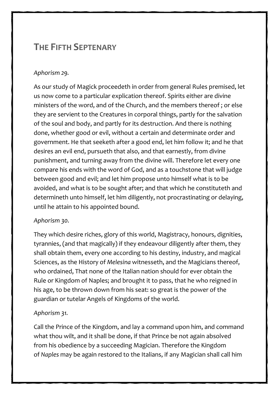## <span id="page-34-0"></span>**THE FIFTH SEPTENARY**

#### *Aphorism 29.*

As our study of Magick proceedeth in order from general Rules premised, let us now come to a particular explication thereof. Spirits either are divine ministers of the word, and of the Church, and the members thereof ; or else they are servient to the Creatures in corporal things, partly for the salvation of the soul and body, and partly for its destruction. And there is nothing done, whether good or evil, without a certain and determinate order and government. He that seeketh after a good end, let him follow it; and he that desires an evil end, pursueth that also, and that earnestly, from divine punishment, and turning away from the divine will. Therefore let every one compare his ends with the word of God, and as a touchstone that will judge between good and evil; and let him propose unto himself what is to be avoided, and what is to be sought after; and that which he constituteth and determineth unto himself, let him diligently, not procrastinating or delaying, until he attain to his appointed bound.

#### *Aphorism 30.*

They which desire riches, glory of this world, Magistracy, honours, dignities, tyrannies, (and that magically) if they endeavour diligently after them, they shall obtain them, every one according to his destiny, industry, and magical Sciences, as the History of *Melesina* witnesseth, and the Magicians thereof, who ordained, That none of the Italian nation should for ever obtain the Rule or Kingdom of Naples; and brought it to pass, that he who reigned in his age, to be thrown down from his seat: so great is the power of the guardian or tutelar Angels of Kingdoms of the world.

#### *Aphorism 31.*

Call the Prince of the Kingdom, and lay a command upon him, and command what thou wilt, and it shall be done, if that Prince be not again absolved from his obedience by a succeeding Magician. Therefore the Kingdom of *Naples* may be again restored to the Italians, if any Magician shall call him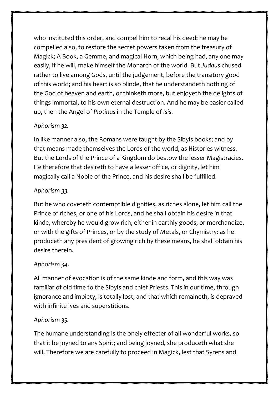who instituted this order, and compel him to recal his deed; he may be compelled also, to restore the secret powers taken from the treasury of Magick; A Book, a Gemme, and magical Horn, which being had, any one may easily, if he will, make himself the Monarch of the world. But *Judaus* chused rather to live among Gods, until the judgement, before the transitory good of this world; and his heart is so blinde, that he understandeth nothing of the God of heaven and earth, or thinketh more, but enjoyeth the delights of things immortal, to his own eternal destruction. And he may be easier called up, then the Angel of *Plotinus* in the Temple of *Isis.*

#### *Aphorism 32.*

In like manner also, the Romans were taught by the Sibyls books; and by that means made themselves the Lords of the world, as Histories witness. But the Lords of the Prince of a Kingdom do bestow the lesser Magistracies. He therefore that desireth to have a lesser office, or dignity, let him magically call a Noble of the Prince, and his desire shall be fulfilled.

#### *Aphorism 33.*

But he who coveteth contemptible dignities, as riches alone, let him call the Prince of riches, or one of his Lords, and he shall obtain his desire in that kinde, whereby he would grow rich, either in earthly goods, or merchandize, or with the gifts of Princes, or by the study of Metals, or Chymistry: as he produceth any president of growing rich by these means, he shall obtain his desire therein.

#### *Aphorism 34.*

All manner of evocation is of the same kinde and form, and this way was familiar of old time to the Sibyls and chief Priests. This in our time, through ignorance and impiety, is totally lost; and that which remaineth, is depraved with infinite lyes and superstitions.

#### *Aphorism 35.*

The humane understanding is the onely effecter of all wonderful works, so that it be joyned to any Spirit; and being joyned, she produceth what she will. Therefore we are carefully to proceed in Magick, lest that Syrens and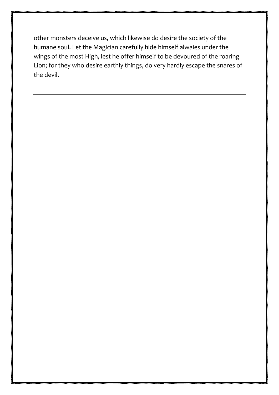other monsters deceive us, which likewise do desire the society of the humane soul. Let the Magician carefully hide himself alwaies under the wings of the most High, lest he offer himself to be devoured of the roaring Lion; for they who desire earthly things, do very hardly escape the snares of the devil.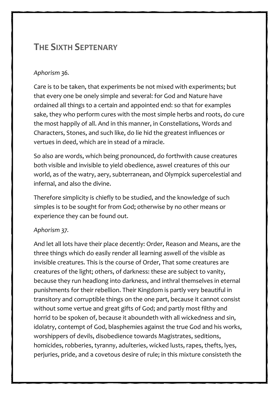## <span id="page-37-0"></span>**THE SIXTH SEPTENARY**

#### *Aphorism 36.*

Care is to be taken, that experiments be not mixed with experiments; but that every one be onely simple and several: for God and Nature have ordained all things to a certain and appointed end: so that for examples sake, they who perform cures with the most simple herbs and roots, do cure the most happily of all. And in this manner, in Constellations, Words and Characters, Stones, and such like, do lie hid the greatest influences or vertues in deed, which are in stead of a miracle.

So also are words, which being pronounced, do forthwith cause creatures both visible and invisible to yield obedience, aswel creatures of this our world, as of the watry, aery, subterranean, and Olympick supercelestial and infernal, and also the divine.

Therefore simplicity is chiefly to be studied, and the knowledge of such simples is to be sought for from God; otherwise by no other means or experience they can be found out.

#### *Aphorism 37.*

And let all lots have their place decently: Order, Reason and Means, are the three things which do easily render all learning aswell of the visible as invisible creatures. This is the course of Order, That some creatures are creatures of the light; others, of darkness: these are subject to vanity, because they run headlong into darkness, and inthral themselves in eternal punishments for their rebellion. Their Kingdom is partly very beautiful in transitory and corruptible things on the one part, because it cannot consist without some vertue and great gifts of God; and partly most filthy and horrid to be spoken of, because it aboundeth with all wickedness and sin, idolatry, contempt of God, blasphemies against the true God and his works, worshippers of devils, disobedience towards Magistrates, seditions, homicides, robberies, tyranny, adulteries, wicked lusts, rapes, thefts, lyes, perjuries, pride, and a covetous desire of rule; in this mixture consisteth the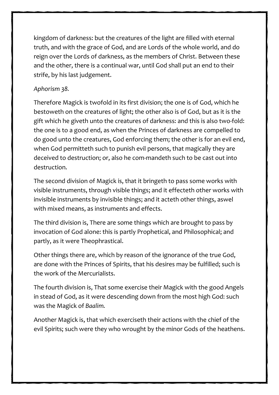kingdom of darkness: but the creatures of the light are filled with eternal truth, and with the grace of God, and are Lords of the whole world, and do reign over the Lords of darkness, as the members of Christ. Between these and the other, there is a continual war, until God shall put an end to their strife, by his last judgement.

#### *Aphorism 38.*

Therefore Magick is twofold in its first division; the one is of God, which he bestoweth on the creatures of light; the other also is of God, but as it is the gift which he giveth unto the creatures of darkness: and this is also two-fold: the one is to a good end, as when the Princes of darkness are compelled to do good unto the creatures, God enforcing them; the other is for an evil end, when God permitteth such to punish evil persons, that magically they are deceived to destruction; or, also he com-mandeth such to be cast out into destruction.

The second division of Magick is, that it bringeth to pass some works with visible instruments, through visible things; and it effecteth other works with invisible instruments by invisible things; and it acteth other things, aswel with mixed means, as instruments and effects.

The third division is, There are some things which are brought to pass by invocation of God alone: this is partly Prophetical, and Philosophical; and partly, as it were Theophrastical.

Other things there are, which by reason of the ignorance of the true God, are done with the Princes of Spirits, that his desires may be fulfilled; such is the work of the Mercurialists.

The fourth division is, That some exercise their Magick with the good Angels in stead of God, as it were descending down from the most high God: such was the Magick of *Baalim.*

Another Magick is, that which exerciseth their actions with the chief of the evil Spirits; such were they who wrought by the minor Gods of the heathens.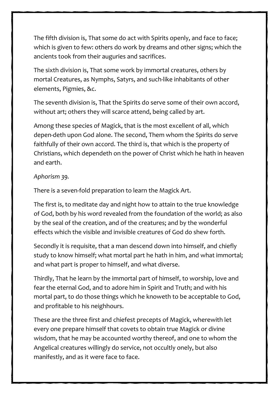The fifth division is, That some do act with Spirits openly, and face to face; which is given to few: others do work by dreams and other signs; which the ancients took from their auguries and sacrifices.

The sixth division is, That some work by immortal creatures, others by mortal Creatures, as Nymphs, Satyrs, and such-like inhabitants of other elements, Pigmies, &c.

The seventh division is, That the Spirits do serve some of their own accord, without art; others they will scarce attend, being called by art.

Among these species of Magick, that is the most excellent of all, which depen-deth upon God alone. The second, Them whom the Spirits do serve faithfully of their own accord. The third is, that which is the property of Christians, which dependeth on the power of Christ which he hath in heaven and earth.

*Aphorism 39.*

There is a seven-fold preparation to learn the Magick Art.

The first is, to meditate day and night how to attain to the true knowledge of God, both by his word revealed from the foundation of the world; as also by the seal of the creation, and of the creatures; and by the wonderful effects which the visible and invisible creatures of God do shew forth.

Secondly it is requisite, that a man descend down into himself, and chiefly study to know himself; what mortal part he hath in him, and what immortal; and what part is proper to himself, and what diverse.

Thirdly, That he learn by the immortal part of himself, to worship, love and fear the eternal God, and to adore him in Spirit and Truth; and with his mortal part, to do those things which he knoweth to be acceptable to God, and profitable to his neighhours.

These are the three first and chiefest precepts of Magick, wherewith let every one prepare himself that covets to obtain true Magick or divine wisdom, that he may be accounted worthy thereof, and one to whom the Angelical creatures willingly do service, not occultly onely, but also manifestly, and as it were face to face.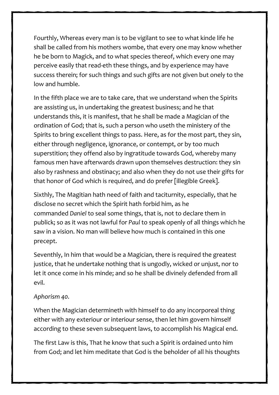Fourthly, Whereas every man is to be vigilant to see to what kinde life he shall be called from his mothers wombe, that every one may know whether he be born to Magick, and to what species thereof, which every one may perceive easily that read-eth these things, and by experience may have success therein; for such things and such gifts are not given but onely to the low and humble.

In the fifth place we are to take care, that we understand when the Spirits are assisting us, in undertaking the greatest business; and he that understands this, it is manifest, that he shall be made a Magician of the ordination of God; that is, such a person who useth the ministery of the Spirits to bring excellent things to pass. Here, as for the most part, they sin, either through negligence, ignorance, or contempt, or by too much superstition; they offend also by ingratitude towards God, whereby many famous men have afterwards drawn upon themselves destruction: they sin also by rashness and obstinacy; and also when they do not use their gifts for that honor of God which is required, and do prefer [illegible Greek].

Sixthly, The Magitian hath need of faith and taciturnity, especially, that he disclose no secret which the Spirit hath forbid him, as he commanded *Daniel* to seal some things, that is, not to declare them in publick; so as it was not lawful for *Paul* to speak openly of all things which he saw in a vision. No man will believe how much is contained in this one precept.

Seventhly, In him that would be a Magician, there is required the greatest justice, that he undertake nothing that is ungodly, wicked or unjust, nor to let it once come in his minde; and so he shall be divinely defended from all evil.

#### *Aphorism 40.*

When the Magician determineth with himself to do any incorporeal thing either with any exteriour or interiour sense, then let him govern himself according to these seven subsequent laws, to accomplish his Magical end.

The first Law is this, That he know that such a Spirit is ordained unto him from God; and let him meditate that God is the beholder of all his thoughts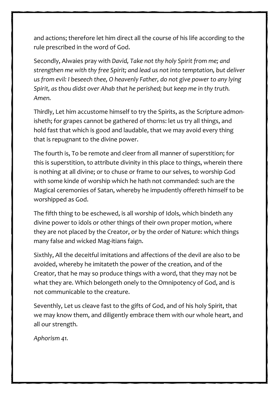and actions; therefore let him direct all the course of his life according to the rule prescribed in the word of God.

Secondly, Alwaies pray with *David, Take not thy holy Spirit from me; and strengthen me with thy free Spirit; and lead us not into temptation, but deliver us from evil: I beseech thee, O heavenly Father, do not give power to any lying Spirit, as thou didst over Ahab that he perished; but keep me in thy truth. Amen.*

Thirdly, Let him accustome himself to try the Spirits, as the Scripture admonisheth; for grapes cannot be gathered of thorns: let us try all things, and hold fast that which is good and laudable, that we may avoid every thing that is repugnant to the divine power.

The fourth is, To be remote and cleer from all manner of superstition; for this is superstition, to attribute divinity in this place to things, wherein there is nothing at all divine; or to chuse or frame to our selves, to worship God with some kinde of worship which he hath not commanded: such are the Magical ceremonies of Satan, whereby he impudently offereth himself to be worshipped as God.

The fifth thing to be eschewed, is all worship of Idols, which bindeth any divine power to idols or other things of their own proper motion, where they are not placed by the Creator, or by the order of Nature: which things many false and wicked Mag-itians faign.

Sixthly, All the deceitful imitations and affections of the devil are also to be avoided, whereby he imitateth the power of the creation, and of the Creator, that he may so produce things with a word, that they may not be what they are. Which belongeth onely to the Omnipotency of God, and is not communicable to the creature.

Seventhly, Let us cleave fast to the gifts of God, and of his holy Spirit, that we may know them, and diligently embrace them with our whole heart, and all our strength.

*Aphorism 41.*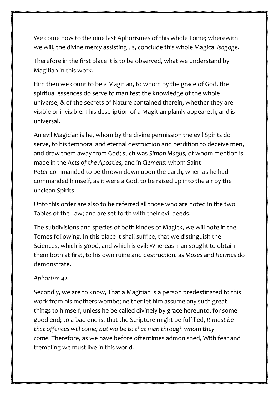We come now to the nine last Aphorismes of this whole Tome; wherewith we will, the divine mercy assisting us, conclude this whole Magical *Isagoge.*

Therefore in the first place it is to be observed, what we understand by Magitian in this work.

Him then we count to be a Magitian, to whom by the grace of God. the spiritual essences do serve to manifest the knowledge of the whole universe, & of the secrets of Nature contained therein, whether they are visible or invisible. This description of a Magitian plainly appeareth, and is universal.

An evil Magician is he, whom by the divine permission the evil Spirits do serve, to his temporal and eternal destruction and perdition to deceive men, and draw them away from God; such was *Simon Magus,* of whom mention is made in the *Acts of the Apostles,* and in *Clemens;* whom Saint *Peter* commanded to be thrown down upon the earth, when as he had commanded himself, as it were a God, to be raised up into the air by the unclean Spirits.

Unto this order are also to be referred all those who are noted in the two Tables of the Law; and are set forth with their evil deeds.

The subdivisions and species of both kindes of Magick, we will note in the Tomes following. In this place it shall suffice, that we distinguish the Sciences, which is good, and which is evil: Whereas man sought to obtain them both at first, to his own ruine and destruction, as *Moses* and *Hermes* do demonstrate.

#### *Aphorism 42.*

Secondly, we are to know, That a Magitian is a person predestinated to this work from his mothers wombe; neither let him assume any such great things to himself, unless he be called divinely by grace hereunto, for some good end; to a bad end is, that the Scripture might be fulfilled, *It must be that offences will come; but wo be to that man through whom they come.* Therefore, as we have before oftentimes admonished, With fear and trembling we must live in this world.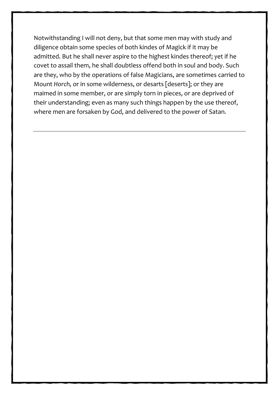Notwithstanding I will not deny, but that some men may with study and diligence obtain some species of both kindes of Magick if it may be admitted. But he shall never aspire to the highest kindes thereof; yet if he covet to assail them, he shall doubtless offend both in soul and body. Such are they, who by the operations of false Magicians, are sometimes carried to Mount *Horch,* or in some wilderness, or desarts [deserts]; or they are maimed in some member, or are simply torn in pieces, or are deprived of their understanding; even as many such things happen by the use thereof, where men are forsaken by God, and delivered to the power of Satan.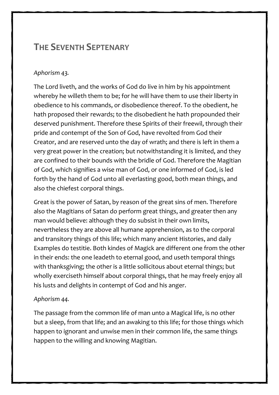## <span id="page-44-0"></span>**THE SEVENTH SEPTENARY**

#### *Aphorism 43.*

The Lord liveth, and the works of God do live in him by his appointment whereby he willeth them to be; for he will have them to use their liberty in obedience to his commands, or disobedience thereof. To the obedient, he hath proposed their rewards; to the disobedient he hath propounded their deserved punishment. Therefore these Spirits of their freewil, through their pride and contempt of the Son of God, have revolted from God their Creator, and are reserved unto the day of wrath; and there is left in them a very great power in the creation; but notwithstanding it is limited, and they are confined to their bounds with the bridle of God. Therefore the Magitian of God, which signifies a wise man of God, or one informed of God, is led forth by the hand of God unto all everlasting good, both mean things, and also the chiefest corporal things.

Great is the power of Satan, by reason of the great sins of men. Therefore also the Magitians of Satan do perform great things, and greater then any man would believe: although they do subsist in their own limits, nevertheless they are above all humane apprehension, as to the corporal and transitory things of this life; which many ancient Histories, and daily Examples do testitie. Both kindes of Magick are different one from the other in their ends: the one leadeth to eternal good, and useth temporal things with thanksgiving; the other is a little sollicitous about eternal things; but wholly exerciseth himself about corporal things, that he may freely enjoy all his lusts and delights in contempt of God and his anger.

#### *Aphorism 44.*

The passage from the common life of man unto a Magical life, is no other but a sleep, from that life; and an awaking to this life; for those things which happen to ignorant and unwise men in their common life, the same things happen to the willing and knowing Magitian.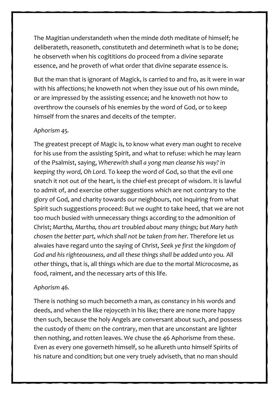The Magitian understandeth when the minde doth meditate of himself; he deliberateth, reasoneth, constituteth and determineth what is to be done; he observeth when his cogititions do proceed from a divine separate essence, and he proveth of what order that divine separate essence is.

But the man that is ignorant of Magick, is carried to and fro, as it were in war with his affections; he knoweth not when they issue out of his own minde, or are impressed by the assisting essence; and he knoweth not how to overthrow the counsels of his enemies by the word of God, or to keep himself from the snares and deceits of the tempter.

#### *Aphorism 45.*

The greatest precept of Magic is, to know what every man ought to receive for his use from the assisting Spirit, and what to refuse: which he may learn of the Psalmist, saying, *Wherewith shall a yong man cleanse his way? in keeping thy word, Oh Lord.* To keep the word of God, so that the evil one snatch it not out of the heart, is the chief-est precept of wisdom. It is lawful to admit of, and exercise other suggestions which are not contrary to the glory of God, and charity towards our neighbours, not inquiring from what Spirit such suggestions proceed: But we ought to take heed, that we are not too much busied with unnecessary things according to the admonition of Christ; *Martha, Martha, thou art troubled about many things; but Mary hath chosen the better part, which shall not be taken from her.* Therefore let us alwaies have regard unto the saying of Christ, *Seek ye first the kingdom of God and his righteousness, and all these things shall be added unto you.* All other things, that is, all things which are due to the mortal Microcosme, as food, raiment, and the necessary arts of this life.

#### *Aphorism 46.*

There is nothing so much becometh a man, as constancy in his words and deeds, and when the like rejoyceth in his like; there are none more happy then such, because the holy Angels are conversant about such, and possess the custody of them: on the contrary, men that are unconstant are lighter then nothing, and rotten leaves. We chuse the 46 Aphorisme from these. Even as every one governeth himself, so he allureth unto himself Spirits of his nature and condition; but one very truely adviseth, that no man should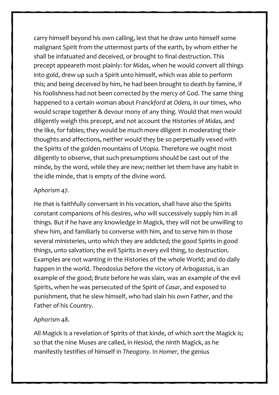carry himself beyond his own calling, lest that he draw unto himself some malignant Spirit from the uttermost parts of the earth, by whom either he shall be infatuated and deceived, or brought to final destruction. This precept appeareth most plainly: for *Midas*, when he would convert all things into gold, drew up such a Spirit unto himself, which was able to perform this; and being deceived by him, he had been brought to death by famine, if his foolishness had not been corrected by the mercy of God. The same thing happened to a certain woman about *Franckford* at *Odera,* in our times, who would scrape together & devour mony of any thing. Would that men would diligently weigh this precept, and not account the Histories of *Midas,* and the like, for fables; they would be much more diligent in moderating their thoughts and affections, neither would they be so perpetually vexed with the Spirits of the golden mountains of *Utopia.* Therefore we ought most diligently to observe, that such presumptions should be cast out of the minde, by the word, while they are new; neither let them have any habit in the idle minde, that is empty of the divine word.

#### *Aphorism 47.*

He that is faithfully conversant in his vocation, shall have also the Spirits constant companions of his desires, who will successively supply him in all things. But if he have any knowledge in Magick, they will not be unwilling to shew him, and familiarly to converse with him, and to serve him in those several ministeries, unto which they are addicted; the good Spirits in good things, unto salvation; the evil Spirits in every evil thing, to destruction. Examples are not wanting in the Histories of the whole World; and do daily happen in the world. *Theodosius* before the victory of *Arbogastus*, is an example of the good; *Brute* before he was slain, was an example of the evil Spirits, when he was persecuted of the Spirit of *Casar,* and exposed to punishment, that he slew himself, who had slain his own Father, and the Father of his Country.

#### *Aphorism 48.*

All Magick is a revelation of Spirits of that kinde, of which sort the Magick is; so that the nine Muses are called, in *Hesiod*, the ninth Magick, as he manifestly testifies of himself in *Theogony.* In *Homer,* the genius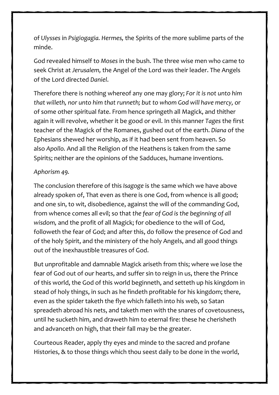of *Ulysses* in *Psigiogagia. Hermes,* the Spirits of the more sublime parts of the minde.

God revealed himself to *Moses* in the bush. The three wise men who came to seek Christ at *Jerusalem,* the Angel of the Lord was their leader. The Angels of the Lord directed *Daniel*.

Therefore there is nothing whereof any one may glory; *For it is not unto him that willeth, nor unto him that runneth; but to whom God will have mercy,* or of some other spiritual fate. From hence springeth all Magick, and thither again it will revolve, whether it be good or evil. In this manner *Tages* the first teacher of the Magick of the Romanes, gushed out of the earth. *Diana* of the Ephesians shewed her worship, as if it had been sent from heaven. So also *Apollo.* And all the Religion of the Heathens is taken from the same Spirits; neither are the opinions of the Sadduces, humane inventions.

#### *Aphorism 49.*

The conclusion therefore of this *Isagoge* is the same which we have above already spoken of, That even as there is one God, from whence is all good; and one sin, to wit, disobedience, against the will of the commanding God, from whence comes all evil; so that *the fear of God is the beginning of all wisdom,* and the profit of all Magick; for obedience to the will of God, followeth the fear of God; and after this, do follow the presence of God and of the holy Spirit, and the ministery of the holy Angels, and all good things out of the inexhaustible treasures of God.

But unprofitable and damnable Magick ariseth from this; where we lose the fear of God out of our hearts, and suffer sin to reign in us, there the Prince of this world, the God of this world beginneth, and setteth up his kingdom in stead of holy things, in such as he findeth profitable for his kingdom; there, even as the spider taketh the flye which falleth into his web, so Satan spreadeth abroad his nets, and taketh men with the snares of covetousness, until he sucketh him, and draweth him to eternal fire: these he cherisheth and advanceth on high, that their fall may be the greater.

Courteous Reader, apply thy eyes and minde to the sacred and profane Histories, & to those things which thou seest daily to be done in the world,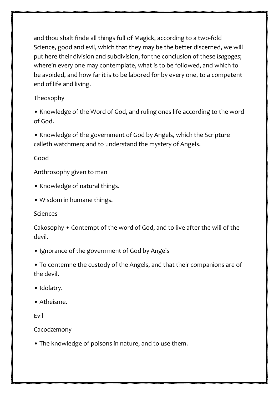and thou shalt finde all things full of Magick, according to a two-fold Science, good and evil, which that they may be the better discerned, we will put here their division and subdivision, for the conclusion of these *Isagoges*; wherein every one may contemplate, what is to be followed, and which to be avoided, and how far it is to be labored for by every one, to a competent end of life and living.

Theosophy

• Knowledge of the Word of God, and ruling ones life according to the word of God.

• Knowledge of the government of God by Angels, which the Scripture calleth watchmen; and to understand the mystery of Angels.

Good

Anthrosophy given to man

- Knowledge of natural things.
- Wisdom in humane things.

#### Sciences

Cakosophy • Contempt of the word of God, and to live after the will of the devil.

- Ignorance of the government of God by Angels
- To contemne the custody of the Angels, and that their companions are of the devil.
- Idolatry.
- Atheisme.

Evil

#### Cacodæmony

• The knowledge of poisons in nature, and to use them.